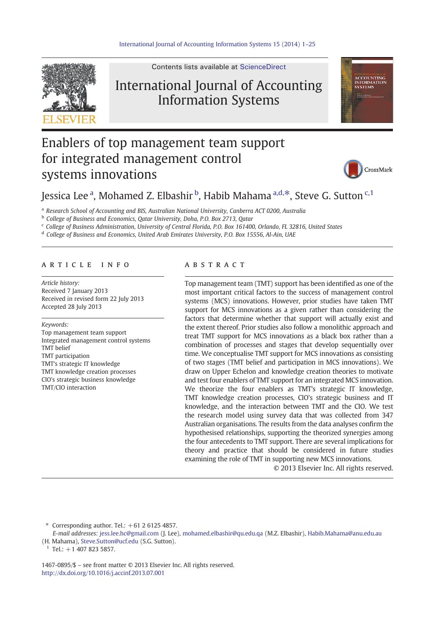

Contents lists available at [ScienceDirect](http://www.sciencedirect.com/science/journal/14670895)

# International Journal of Accounting Information Systems



# Enablers of top management team support for integrated management control systems innovations



## Jessica Lee <sup>a</sup>, Mohamed Z. Elbashir <sup>b</sup>, Habib Mahama <sup>a,d,\*</sup>, Steve G. Sutton <sup>c,1</sup>

<sup>a</sup> Research School of Accounting and BIS, Australian National University, Canberra ACT 0200, Australia

<sup>b</sup> College of Business and Economics, Qatar University, Doha, P.O. Box 2713, Qatar

<sup>c</sup> College of Business Administration, University of Central Florida, P.O. Box 161400, Orlando, FL 32816, United States

<sup>d</sup> College of Business and Economics, United Arab Emirates University, P.O. Box 15556, Al-Ain, UAE

#### article info abstract

Article history: Received 7 January 2013 Received in revised form 22 July 2013 Accepted 28 July 2013

Keywords:

Top management team support Integrated management control systems TMT belief TMT participation TMT's strategic IT knowledge TMT knowledge creation processes CIO's strategic business knowledge TMT/CIO interaction

Top management team (TMT) support has been identified as one of the most important critical factors to the success of management control systems (MCS) innovations. However, prior studies have taken TMT support for MCS innovations as a given rather than considering the factors that determine whether that support will actually exist and the extent thereof. Prior studies also follow a monolithic approach and treat TMT support for MCS innovations as a black box rather than a combination of processes and stages that develop sequentially over time. We conceptualise TMT support for MCS innovations as consisting of two stages (TMT belief and participation in MCS innovations). We draw on Upper Echelon and knowledge creation theories to motivate and test four enablers of TMT support for an integrated MCS innovation. We theorize the four enablers as TMT's strategic IT knowledge, TMT knowledge creation processes, CIO's strategic business and IT knowledge, and the interaction between TMT and the CIO. We test the research model using survey data that was collected from 347 Australian organisations. The results from the data analyses confirm the hypothesised relationships, supporting the theorized synergies among the four antecedents to TMT support. There are several implications for theory and practice that should be considered in future studies examining the role of TMT in supporting new MCS innovations.

© 2013 Elsevier Inc. All rights reserved.

Corresponding author. Tel.:  $+61$  2 6125 4857.

E-mail addresses: [jess.lee.hc@gmail.com](mailto:jess.lee.hc@gmail.com) (J. Lee), [mohamed.elbashir@qu.edu.qa](mailto:mohamed.elbashir@qu.edu.qa) (M.Z. Elbashir), [Habib.Mahama@anu.edu.au](mailto:Habib.Mahama@anu.edu.au) (H. Mahama), [Steve.Sutton@ucf.edu](mailto:Steve.Sutton@ucf.edu) (S.G. Sutton).

 $1$  Tel.: +1 407 823 5857.

1467-0895/\$ – see front matter © 2013 Elsevier Inc. All rights reserved. <http://dx.doi.org/10.1016/j.accinf.2013.07.001>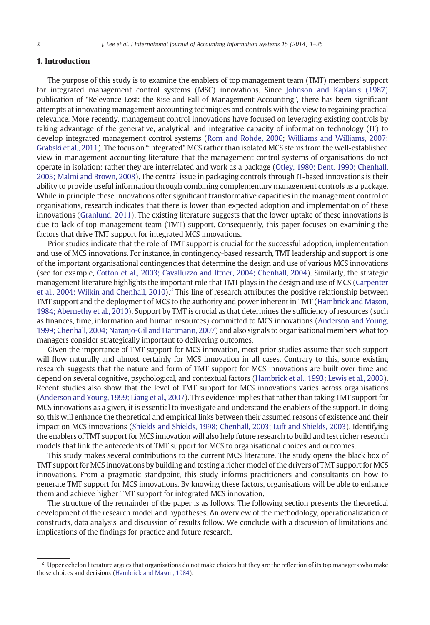### 1. Introduction

The purpose of this study is to examine the enablers of top management team (TMT) members' support for integrated management control systems (MSC) innovations. Since [Johnson and Kaplan's \(1987\)](#page--1-0) publication of "Relevance Lost: the Rise and Fall of Management Accounting", there has been significant attempts at innovating management accounting techniques and controls with the view to regaining practical relevance. More recently, management control innovations have focused on leveraging existing controls by taking advantage of the generative, analytical, and integrative capacity of information technology (IT) to develop integrated management control systems ([Rom and Rohde, 2006;](#page--1-0) [Williams and Williams, 2007;](#page--1-0) [Grabski et al., 2011](#page--1-0)). The focus on "integrated" MCS rather than isolated MCS stems from the well-established view in management accounting literature that the management control systems of organisations do not operate in isolation; rather they are interrelated and work as a package [\(Otley, 1980; Dent, 1990; Chenhall,](#page--1-0) [2003; Malmi and Brown, 2008](#page--1-0)). The central issue in packaging controls through IT-based innovations is their ability to provide useful information through combining complementary management controls as a package. While in principle these innovations offer significant transformative capacities in the management control of organisations, research indicates that there is lower than expected adoption and implementation of these innovations [\(Granlund, 2011\)](#page--1-0). The existing literature suggests that the lower uptake of these innovations is due to lack of top management team (TMT) support. Consequently, this paper focuses on examining the factors that drive TMT support for integrated MCS innovations.

Prior studies indicate that the role of TMT support is crucial for the successful adoption, implementation and use of MCS innovations. For instance, in contingency-based research, TMT leadership and support is one of the important organisational contingencies that determine the design and use of various MCS innovations (see for example, [Cotton et al., 2003; Cavalluzzo and Ittner, 2004; Chenhall, 2004](#page--1-0)). Similarly, the strategic management literature highlights the important role that TMT plays in the design and use of MCS [\(Carpenter](#page--1-0) [et al., 2004; Wilkin and Chenhall, 2010\)](#page--1-0).<sup>2</sup> This line of research attributes the positive relationship between TMT support and the deployment of MCS to the authority and power inherent in TMT [\(Hambrick and Mason,](#page--1-0) [1984; Abernethy et al., 2010\)](#page--1-0). Support by TMT is crucial as that determines the sufficiency of resources (such as finances, time, information and human resources) committed to MCS innovations [\(Anderson and Young,](#page--1-0) [1999; Chenhall, 2004; Naranjo-Gil and Hartmann, 2007](#page--1-0)) and also signals to organisational members what top managers consider strategically important to delivering outcomes.

Given the importance of TMT support for MCS innovation, most prior studies assume that such support will flow naturally and almost certainly for MCS innovation in all cases. Contrary to this, some existing research suggests that the nature and form of TMT support for MCS innovations are built over time and depend on several cognitive, psychological, and contextual factors [\(Hambrick et al., 1993; Lewis et al., 2003](#page--1-0)). Recent studies also show that the level of TMT support for MCS innovations varies across organisations ([Anderson and Young, 1999; Liang et al., 2007\)](#page--1-0). This evidence implies that rather than taking TMT support for MCS innovations as a given, it is essential to investigate and understand the enablers of the support. In doing so, this will enhance the theoretical and empirical links between their assumed reasons of existence and their impact on MCS innovations [\(Shields and Shields, 1998; Chenhall, 2003; Luft and Shields, 2003](#page--1-0)). Identifying the enablers of TMT support for MCS innovation will also help future research to build and test richer research models that link the antecedents of TMT support for MCS to organisational choices and outcomes.

This study makes several contributions to the current MCS literature. The study opens the black box of TMT support for MCS innovations by building and testing a richer model of the drivers of TMT support for MCS innovations. From a pragmatic standpoint, this study informs practitioners and consultants on how to generate TMT support for MCS innovations. By knowing these factors, organisations will be able to enhance them and achieve higher TMT support for integrated MCS innovation.

The structure of the remainder of the paper is as follows. The following section presents the theoretical development of the research model and hypotheses. An overview of the methodology, operationalization of constructs, data analysis, and discussion of results follow. We conclude with a discussion of limitations and implications of the findings for practice and future research.

 $<sup>2</sup>$  Upper echelon literature argues that organisations do not make choices but they are the reflection of its top managers who make</sup> those choices and decisions ([Hambrick and Mason, 1984](#page--1-0)).